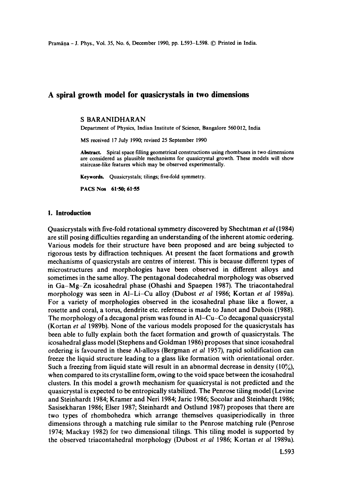Pramāna - J. Phys., Vol. 35, No. 6, December 1990, pp. L593-L598. © Printed in India.

# **A spiral growth model for quasicrystals in two dimensions**

# S BARANIDHARAN

Department of Physics, Indian Institute of Science, Bangalore 560012, India

MS received 17 July 1990; revised 25 September 1990

**Abstract.** Spiral space filling geometrical constructions using rhombuses in two dimensions are considered as plausible mechanisms for quasicrystal growth. These models will show staircase-like features which may be observed experimentally.

Keywords. Quasicrystals; tilings; five-fold symmetry.

**PACS Nos 61.50; 61.55** 

# **I. Introduction**

Quasicrystals with five-fold rotational symmetry discovered by Shechtman *et al* (1984) are still posing difficulties regarding an understanding of the inherent atomic ordering. Various models for their structure have been proposed and are being subjected to rigorous tests by diffraction techniques. At present the facet formations and growth mechanisms of quasicrystals are centres of interest. This is because different types of microstructures and morphologies have been observed in different alloys and sometimes in the same alloy. The pentagonal dodecahedral morphology was observed in Ga-Mg-Zn icosahedral phase (Ohashi and Spaepen 1987). The triacontahedral morphology was seen in AI-Li-Cu alloy (Dubost *et al* 1986; Kortan *et al* 1989a). For a variety of morphologies observed in the icosahedral phase like a flower, a rosette and coral, a torus, dendrite etc. reference is made to Janot and Dubois (1988). The morphology of a decagonal prism was found in AI-Cu-Co decagonal quasicrystal (Kortan *et al* 1989b). None of the various models proposed for the quasicrystals has been able to fully explain both the facet formation and growth of quasicrystals. The icosahedral glass model (Stephens and Goldman 1986) proposes that since icosahedral ordering is favoured in these Al-alloys (Bergman *et al* 1957), rapid solidification can freeze the liquid structure leading to a glass like formation with orientational order. Such a freezing from liquid state will result in an abnormal decrease in density  $(10\%)$ , when compared to its crystalline form, owing to the void space between the icosahedral clusters. In this model a growth mechanism for quasicrystal is not predicted and the quasicrystal is expected to be entropically stabilized. The Penrose tiling model (Levine and Steinhardt 1984; Kramer and Neri 1984; Jaric 1986; Socolar and Steinhardt 1986; Sasisekharan 1986; Elser 1987; Steinhardt and Ostlund 1987) proposes that there are two types of rhombohedra which arrange themselves quasiperiodically in three dimensions through a matching rule similar to the Penrose matching rule (Penrose 1974; Mackay 1982) for two dimensional tilings. This tiling model is supported by the observed triacontahedral morphology (Dubost *et al* 1986; Kortan *et al* 1989a).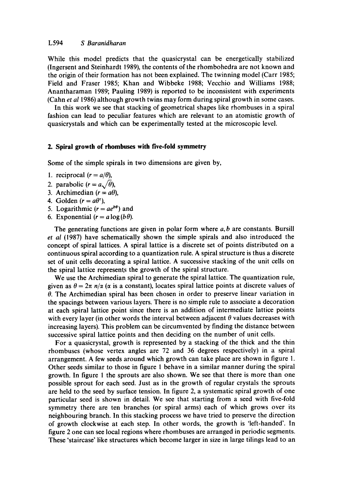While this model predicts that the quasicrystal can be energetically stabilized (Ingersent and Steinhardt 1989), the contents of the rhombohedra are not known and the origin of their formation has not been explained. The twinning model (Carr 1985; Field and Fraser 1985; Khan and Wibbeke 1988; Vecchio and Williams 1988; Anantharaman 1989; Pauling 1989) is reported to be inconsistent with experiments (Cahn *et al* 1986) although growth twins may form during spiral growth in some cases.

In this work we see that stacking of geometrical shapes like rhombuses in a spiral fashion can lead to peculiar features which are relevant to an atomistic growth of quasicrystals and which can be experimentally tested at the microscopic level.

#### **2. Spiral growth of rhombuses with five-fold symmetry**

Some of the simple spirals in two dimensions are given by,

- 1. reciprocal  $(r = a/\theta)$ ,
- 2. parabolic  $(r = a\sqrt{\theta})$ ,
- 3. Archimedian  $(r = a\theta)$ ,
- 4. Golden  $(r = a\theta^{\tau})$ ,
- 5. Logarithmic  $(r = ae^{b\theta})$  and
- 6. Exponential  $(r = a \log(b \theta))$ .

The generating functions are given in polar form where  $a, b$  are constants. Bursill *et al* (1987) have schematically shown the simple spirals and also introduced the concept of spiral lattices. A spiral lattice is a discrete set of points distributed on a continuous spiral according to a quantization rule. A spiral structure is thus a discrete set of unit cells decorating a spiral lattice. A successive stacking of the unit cells on the spiral lattice represents the growth of the spiral structure.

We use the Archimedian spiral to generate the spiral lattice. The quantization rule, given as  $\theta = 2\pi n/\alpha$  ( $\alpha$  is a constant), locates spiral lattice points at discrete values of  $\theta$ . The Archimedian spiral has been chosen in order to preserve linear variation in the spacings between various layers. There is no simple rule to associate a decoration at each spiral lattice point since there is an addition of intermediate lattice points with every layer (in other words the interval between adjacent  $\theta$  values decreases with increasing layers). This problem can be circumvented by finding the distance between successive spiral lattice points and then deciding on the number of unit cells.

For a quasicrystal, growth is represented by a stacking of the thick and the thin rhombuses (whose vertex angles are 72 and 36 degrees respectively) in a spiral arrangement. A few seeds around which growth can take place are shown in figure 1. Other seeds similar to those in figure 1 behave in a similar manner during the spiral growth. In figure 1 the sprouts are also shown. We see that there is more than one possible sprout for each seed. Just as in the growth of regular crystals the sprouts are held to the seed by surface tension. In figure 2, a systematic spiral growth of one particular seed is shown in detail. We see that starting from a seed with five-fold symmetry there are ten branches (or spiral arms) each of which grows over its neighbouring branch. In this stacking process we have tried to preserve the direction of growth clockwise at each step. In other words, the growth is 'left-handed'. In figure 2 one can see local regions where rhombuses are arranged in periodic segments. These 'staircase' like structures which become larger in size in large tilings lead to an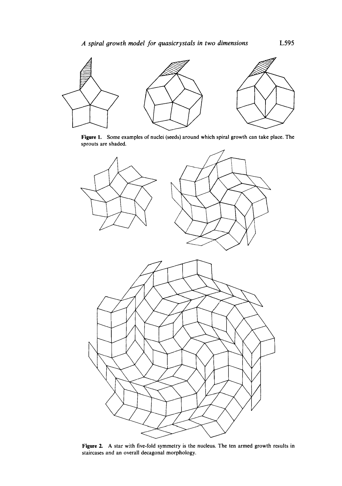

Figure 1. Some examples of nuclei (seeds) around which spiral growth can take place. The sprouts are shaded.



Figure 2. A star with five-fold symmetry is the nucleus. The ten armed growth results in staircases and an overall decagonal morphology.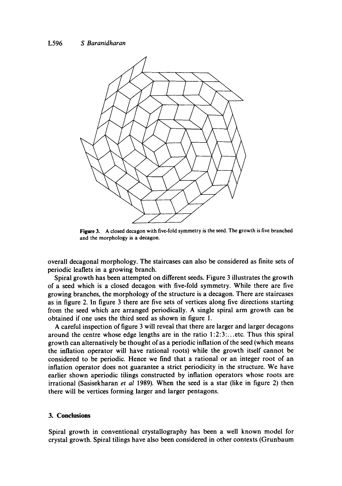

Figure 3. A closed decagon with five-fold symmetry is the seed. The growth is five branched and the morphology is a decagon.

overall decagonal morphology. The staircases can also be considered as finite sets of periodic leaflets in a growing branch.

Spiral growth has been attempted on different seeds. Figure 3 illustrates the growth of a seed which is a closed decagon with five-fold symmetry. While there are five growing branches, the morphology of the structure is a decagon. There are staircases as in figure 2. In figure 3 there are five sets of vertices along five directions starting from the seed which are arranged periodically. A single spiral arm growth can be obtained if one uses the third seed as shown in figure 1.

A careful inspection of figure 3 will reveal that there are larger and larger decagons around the centre whose edge lengths are in the ratio l:2:3:...etc. Thus this spiral growth can alternatively be thought of as a periodic inflation of the seed (which means the inflation operator will have rational roots) while the growth itself cannot be considered to be periodic. Hence we find that a rational or an integer root of an inflation operator does not guarantee a strict periodicity in the structure. We have earlier shown aperiodic tilings constructed by inflation operators whose roots are irrational (Sasisekharan *et al* 1989). When the seed is a star (like in figure 2) then there will be vertices forming larger and larger pentagons.

# **3. Conclusions**

Spiral growth in conventional crystallography has been a well known model for crystal growth. Spiral tilings have also been considered in other contexts (Grunbaum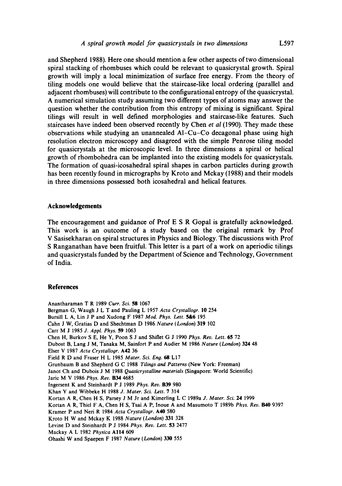and Shepherd 1988). Here one should mention a few other aspects of two dimensional spiral stacking of rhombuses which could be relevant to quasicrystal growth. Spiral growth will imply a local minimization of surface free energy. From the theory of tiling models one would believe that the staircase-like local ordering (parallel and adjacent rhombuses) will contribute to the configurational entropy of the quasicrystal. A numerical simulation study assuming two different types of atoms may answer the question whether the contribution from this entropy of mixing is significant. Spiral tilings will result in well defined morphologies and staircase-like features. Such staircases have indeed been observed recently by Chen *et al* (1990). They made these observations while studying an unannealed AI-Cu-Co decagonal phase using high resolution electron microscopy and disagreed with the simple Penrose tiling model for quasicrystals at the microscopic level. In three dimensions a spiral or helical growth of rhombohedra can be implanted into the existing models for quasicrystals. The formation of quasi-icosahedral spiral shapes in carbon particles during growth has been recently found in micrographs by Kroto and Mckay (1988) and their models in three dimensions possessed both icosahedral and helical features.

#### **Acknowledgements**

The encouragement and guidance of Prof E S R Gopal is gratefully acknowledged. This work is an outcome of a study based on the original remark by Prof V Sasisekharan on spiral structures in Physics and Biology. The discussions with Prof S Ranganathan have been fruitful. This letter is a part of a work on aperiodic tilings and quasicrystals funded by the Department of Science and Technology, Government of India.

#### **References**

Anantharaman T R 1989 *Curt. Sci. 58* 1067 Bergman G, Waugh J L T and Pauling L 1957 *Acta Crystallogr.* 10 254 Bursill L A, Lin J P and Xudong F 1987 *Mod. Phys. Letr* 5&6 195 Cahn J W, Gratias D and Shechtman D 1986 *Nature (London)* 319 102 Carr M J 1985 *J. Appl. Phys.* 59 1063 Chen H, Burkov S E, He Y, Poon S J and Shiflet G J 1990 *Phys. Rev. Letr* 65 72 Dubost B, Lang J M, Tanaka M, Sainfort P and Audier M 1986 *Nature (London)* 324 48 Elser V 1987 *Acta Crystallogr.* A42 36 Field R D and Fraser H L 1985 *Mater. Sci. Eng. 68* L17 Grunbaum B and Shepherd G C 1988 Tilings and Patterns (New York: Freeman) Janot Ch and Dubois J M 1988 *Quasicrystalline materials* (Singapore: World Scientific) Jaric M V 1986 *Phys. Rev.* B34 4685 Ingersent K and Steinhardt P J 1989 *Phys. Rev.* B39 980 Khan Y and Wibbeke H 1988 *J. Mater. Sci. Lett.* 7 314 Kortan A R, Chen H S, Parsey J M Jr and Kimerling L C 1989a J. Mater. Sci. 24 1999 Kortan A R, Thiel F A, Chen H S, Tsai A P, Inoue A and Masumoto T 1989b *Phys. Rev. 1140* 9397 Kramer P and Neff R 1984 *Acta Crystallogr.* A40 580 Kroto H W and Mckay K 1988 *Nature (London)* 331 328 Levine D and Steinhardt P J 1984 *Phys. Rev. Lett.* 53 2477 Mackay A L 1982 *Physica* All4 609 Ohashi W and Spaepen F 1987 *Nature (London)* 330 555